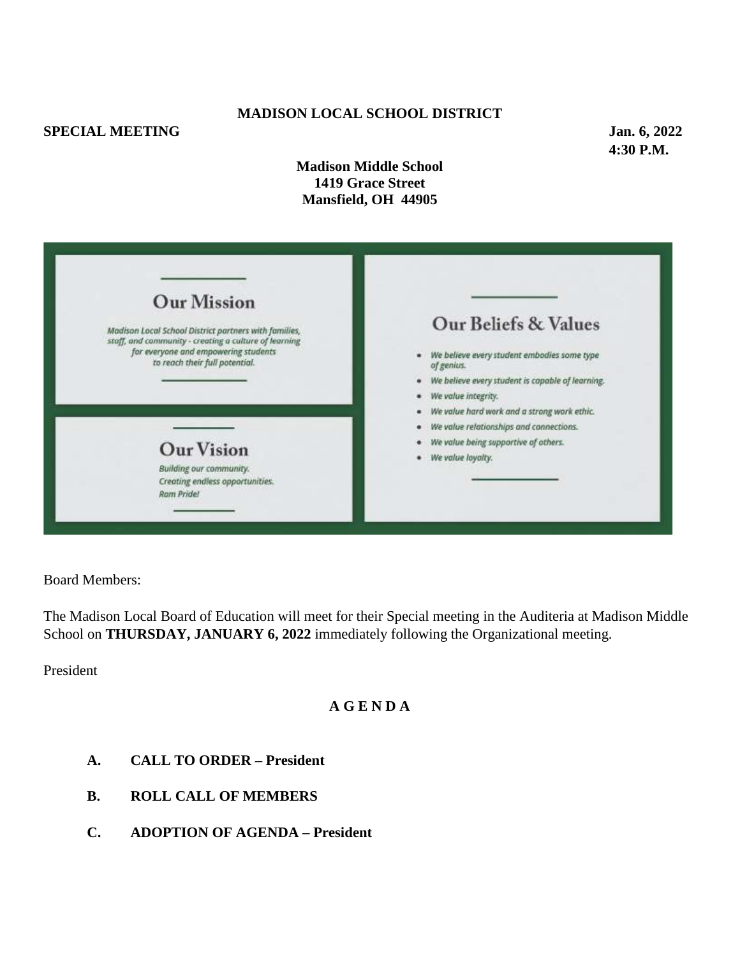# **SPECIAL MEETING** Jan. 6, 2022

## **MADISON LOCAL SCHOOL DISTRICT**

**4:30 P.M.**

**Madison Middle School 1419 Grace Street Mansfield, OH 44905**

| <b>Our Mission</b><br>Madison Local School District partners with families,<br>staff, and community - creating a culture of learning<br>for everyone and empowering students<br>to reach their full potential. | Our Beliefs & Values<br>We believe every student embodies some type<br>of genius.<br>We believe every student is capable of learning.                                      |
|----------------------------------------------------------------------------------------------------------------------------------------------------------------------------------------------------------------|----------------------------------------------------------------------------------------------------------------------------------------------------------------------------|
| <b>Our Vision</b><br>Building our community.<br>Creating endless opportunities.<br>Ram Pride!                                                                                                                  | We value integrity.<br>We value hard work and a strong work ethic.<br>We value relationships and connections.<br>We value being supportive of others.<br>We value loyalty. |

Board Members:

The Madison Local Board of Education will meet for their Special meeting in the Auditeria at Madison Middle School on **THURSDAY, JANUARY 6, 2022** immediately following the Organizational meeting.

President

## **A G E N D A**

- **A. CALL TO ORDER – President**
- **B. ROLL CALL OF MEMBERS**
- **C. ADOPTION OF AGENDA – President**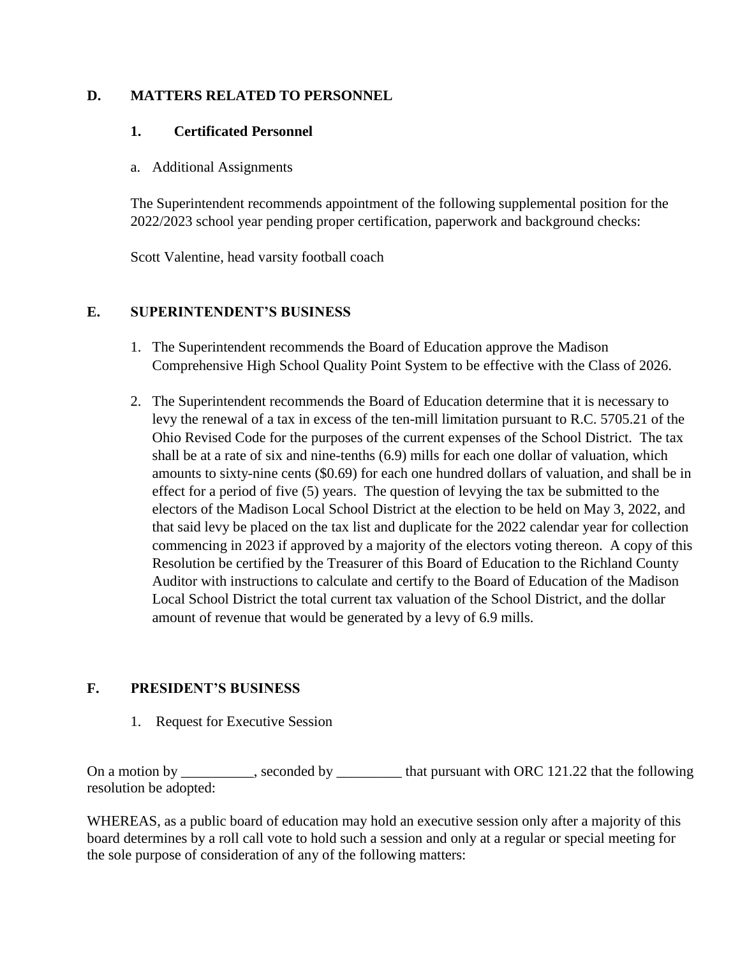## **D. MATTERS RELATED TO PERSONNEL**

#### **1. Certificated Personnel**

a. Additional Assignments

The Superintendent recommends appointment of the following supplemental position for the 2022/2023 school year pending proper certification, paperwork and background checks:

Scott Valentine, head varsity football coach

#### **E. SUPERINTENDENT'S BUSINESS**

- 1. The Superintendent recommends the Board of Education approve the Madison Comprehensive High School Quality Point System to be effective with the Class of 2026.
- 2. The Superintendent recommends the Board of Education determine that it is necessary to levy the renewal of a tax in excess of the ten-mill limitation pursuant to R.C. 5705.21 of the Ohio Revised Code for the purposes of the current expenses of the School District. The tax shall be at a rate of six and nine-tenths (6.9) mills for each one dollar of valuation, which amounts to sixty-nine cents (\$0.69) for each one hundred dollars of valuation, and shall be in effect for a period of five (5) years. The question of levying the tax be submitted to the electors of the Madison Local School District at the election to be held on May 3, 2022, and that said levy be placed on the tax list and duplicate for the 2022 calendar year for collection commencing in 2023 if approved by a majority of the electors voting thereon. A copy of this Resolution be certified by the Treasurer of this Board of Education to the Richland County Auditor with instructions to calculate and certify to the Board of Education of the Madison Local School District the total current tax valuation of the School District, and the dollar amount of revenue that would be generated by a levy of 6.9 mills.

## **F. PRESIDENT'S BUSINESS**

1. Request for Executive Session

On a motion by \_\_\_\_\_\_\_\_, seconded by \_\_\_\_\_\_\_\_ that pursuant with ORC 121.22 that the following resolution be adopted:

WHEREAS, as a public board of education may hold an executive session only after a majority of this board determines by a roll call vote to hold such a session and only at a regular or special meeting for the sole purpose of consideration of any of the following matters: